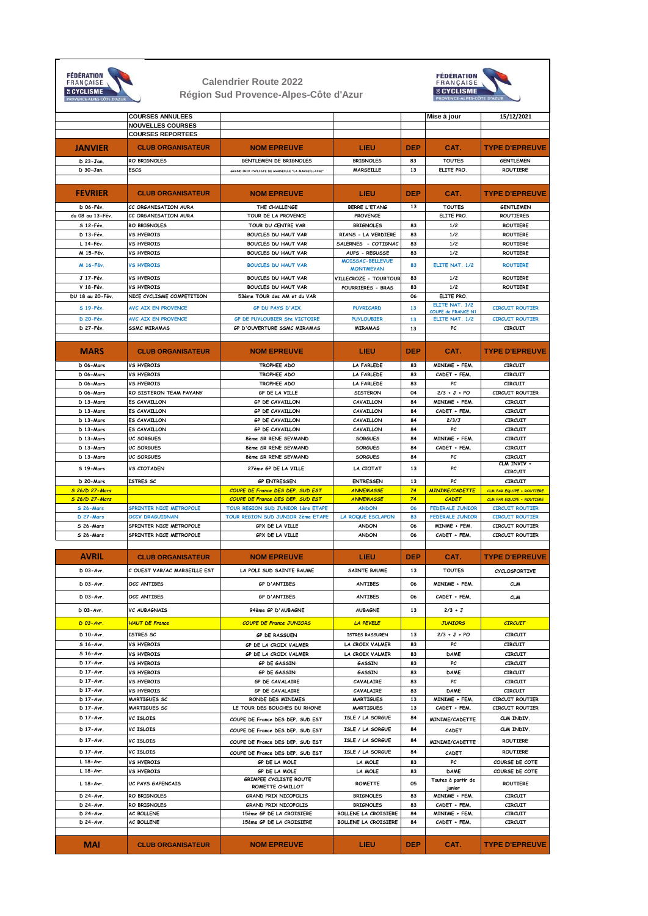| <b>E CYCLISME</b><br>PROVENCE-ALPES-CÔTE D'AZUR |                                                      | <b>Calendrier Route 2022</b><br>Région Sud Provence-Alpes-Côte d'Azur       |                                             | <b>FÉDÉRATION</b><br>FRANÇAISE<br><b>B CYCLISME</b><br><b>OVENCE-ALPES-CÔTE D'AZUR</b> |                                      |                                                                      |  |
|-------------------------------------------------|------------------------------------------------------|-----------------------------------------------------------------------------|---------------------------------------------|----------------------------------------------------------------------------------------|--------------------------------------|----------------------------------------------------------------------|--|
|                                                 | <b>COURSES ANNULEES</b><br><b>NOUVELLES COURSES</b>  |                                                                             |                                             |                                                                                        | Mise à jour                          | 15/12/2021                                                           |  |
| <b>JANVIER</b>                                  | <b>COURSES REPORTEES</b><br><b>CLUB ORGANISATEUR</b> | <b>NOM EPREUVE</b>                                                          | LIEU                                        | <b>DEP</b>                                                                             | CAT.                                 | <b>TYPE D'EPREUVE</b>                                                |  |
| D 23-Jan.                                       | RO BRIGNOLES                                         | GENTLEMEN DE BRIGNOLES                                                      | <b>BRIGNOLES</b>                            | 83                                                                                     | <b>TOUTES</b>                        | <b>GENTLEMEN</b>                                                     |  |
| D 30-Jan.                                       | ESCS                                                 | GRAND PRIX CYCLISTE DE MARSEILLE "LA MARSEILLAISE"                          | <b>MARSEILLE</b>                            | 13                                                                                     | ELITE PRO                            | <b>ROUTIERE</b>                                                      |  |
|                                                 |                                                      |                                                                             |                                             |                                                                                        |                                      |                                                                      |  |
| <b>FEVRIER</b>                                  | <b>CLUB ORGANISATEUR</b>                             | <b>NOM EPREUVE</b>                                                          | LIEU                                        | DEP                                                                                    | CAT.                                 | <b>TYPE D'EPREUVE</b>                                                |  |
| D 06-Fév                                        | CC ORGANISATION AURA                                 | THE CHALLENGE                                                               | <b>BERRE L'ETANG</b>                        | 13                                                                                     | <b>TOUTES</b>                        | <b>GENTLEMEN</b>                                                     |  |
| du 08 au 13-Fév.<br>S 12-Fév.                   | CC ORGANISATION AURA<br>RO BRIGNOLES                 | TOUR DE LA PROVENCE<br>TOUR DU CENTRE VAR                                   | <b>PROVENCE</b><br><b>BRIGNOLES</b>         | 83                                                                                     | ELITE PRO<br>1/2                     | ROUTIERES<br>ROUTIERE                                                |  |
| D 13-Fév.                                       | <b>VS HYEROIS</b>                                    | <b>BOUCLES DU HAUT VAR</b>                                                  | RIANS - LA VERDIERE                         | 83                                                                                     | 1/2                                  | <b>ROUTIERE</b>                                                      |  |
| L 14-Fév.                                       | <b>VS HYEROIS</b>                                    | <b>BOUCLES DU HAUT VAR</b>                                                  | SALERNES - COTIGNAC                         | 83                                                                                     | 1/2                                  | ROUTIERE                                                             |  |
| M 15-Fév.                                       | <b>VS HYEROIS</b>                                    | BOUCLES DU HAUT VAR                                                         | <b>AUPS - REGUSSE</b>                       | 83                                                                                     | 1/2                                  | ROUTIERE                                                             |  |
| M 16-Fév.                                       | <b>VS HYEROIS</b>                                    | <b>BOUCLES DU HAUT VAR</b>                                                  | <b>MOISSAC-BELLEVUE</b><br><b>MONTMEYAN</b> | 83                                                                                     | ELITE NAT. 1/2                       | <b>ROUTIERE</b>                                                      |  |
| J 17-Fév.                                       | <b>VS HYEROIS</b>                                    | <b>BOUCLES DU HAUT VAR</b>                                                  | VILLECROZE - TOURTOUR                       | 83                                                                                     | 1/2                                  | <b>ROUTIERE</b>                                                      |  |
| V 18-Fév.                                       | <b>VS HYEROIS</b>                                    | <b>BOUCLES DU HAUT VAR</b>                                                  | POURRIERES - BRAS                           | 83                                                                                     | 1/2                                  | <b>ROUTIERE</b>                                                      |  |
| DU 18 au 20-Fév.                                | NICE CYCLISME COMPETITION                            | 53ème TOUR des AM et du VAR                                                 |                                             | 06                                                                                     | ELITE PRO.                           |                                                                      |  |
| S 19-Fév.                                       | <b>AVC AIX EN PROVENCE</b>                           | <b>GP DU PAYS D'AIX</b>                                                     | <b>PUYRICARD</b>                            | 13                                                                                     | ELITE NAT. 1/2<br>COUPE de FRANCE N1 | <b>CIRCUIT ROUTIER</b>                                               |  |
| <b>D</b> 20-Fév.                                | <b>AVC AIX EN PROVENCE</b>                           | GP DE PUYLOUBIER Ste VICTOIRE                                               | <b>PUYLOUBIER</b>                           | 13                                                                                     | ELITE NAT. 1/2                       | <b>CIRCUIT ROUTIER</b>                                               |  |
| D 27-Fév.                                       | <b>SSMC MIRAMAS</b>                                  | <b>GP D'OUVERTURE SSMC MIRAMAS</b>                                          | <b>MIRAMAS</b>                              | 13                                                                                     | PC                                   | CIRCUIT                                                              |  |
| <b>MARS</b>                                     | <b>CLUB ORGANISATEUR</b>                             | <b>NOM EPREUVE</b>                                                          | LIEU                                        | <b>DEP</b>                                                                             | CAT.                                 | <b>TYPE D'EPREUVE</b>                                                |  |
| D 06-Mars                                       | <b>VS HYEROIS</b>                                    | TROPHEE ADO                                                                 | <b>LA FARLEDE</b>                           | 83                                                                                     | MINIME + FEM.                        | CIRCUIT                                                              |  |
| D 06-Mars                                       | <b>VS HYEROIS</b>                                    | TROPHEE ADO                                                                 | <b>LA FARLEDE</b>                           | 83                                                                                     | CADET + FEM.                         | CIRCUIT                                                              |  |
| D 06-Mars                                       | <b>VS HYEROIS</b>                                    | TROPHEE ADO                                                                 | <b>LA FARLEDE</b>                           | 83                                                                                     | РC                                   | CIRCUIT                                                              |  |
| D 06-Mars                                       | RO SISTERON TEAM PAYANY                              | GP DE LA VILLE                                                              | <b>SISTERON</b>                             | 04                                                                                     | $2/3 + J + PO$                       | <b>CIRCUIT ROUTIER</b>                                               |  |
| D 13-Mars                                       | ES CAVAILLON                                         | <b>GP DE CAVAILLON</b>                                                      | CAVAILLON                                   | 84                                                                                     | MINIME + FEM                         | CIRCUIT                                                              |  |
| D 13-Mars<br>D 13-Mars                          | ES CAVAILLON<br>ES CAVAILLON                         | <b>GP DE CAVAILLON</b><br>GP DE CAVAILLON                                   | CAVAILLON<br>CAVAILLON                      | 84<br>84                                                                               | CADET + FEM.<br>2/3/J                | CIRCUIT<br>CIRCUIT                                                   |  |
| D 13-Mars                                       | ES CAVAILLON                                         | <b>GP DE CAVAILLON</b>                                                      | CAVAILLON                                   | 84                                                                                     | PC                                   | CIRCUIT                                                              |  |
| D 13-Mars                                       | <b>UC SORGUES</b>                                    | 8ème SR RENE SEYMAND                                                        | <b>SORGUES</b>                              | 84                                                                                     | MINIME + FEM                         | CIRCUIT                                                              |  |
| D 13-Mars                                       | UC SORGUES                                           | 8ème SR RENE SEYMAND                                                        | <b>SORGUES</b>                              | 84                                                                                     | CADET + FEM.                         | CIRCUIT                                                              |  |
| D 13-Mars                                       | <b>UC SORGUES</b>                                    | 8ème SR RENE SEYMAND                                                        | <b>SORGUES</b>                              | 84                                                                                     | PC                                   | CIRCUIT<br>CLM INVIV +                                               |  |
| S 19-Mars                                       | <b>VS CIOTADEN</b>                                   | 27ème GP DE LA VILLE                                                        | LA CIOTAT                                   | 13                                                                                     | РC                                   | <b>CIRCUIT</b>                                                       |  |
| D 20-Mars                                       | ISTRES SC                                            | <b>GP ENTRESSEN</b>                                                         | <b>ENTRESSEN</b>                            | 13                                                                                     | PC                                   | <b>CIRCUIT</b>                                                       |  |
| <b>S 26/D 27-Mars</b><br><b>S 26/D 27-Mars</b>  |                                                      | <b>COUPE DE France DES DEP. SUD EST</b><br>COUPE DE France DES DEP. SUD EST | <b>ANNEMASSE</b><br><b>ANNEMASSE</b>        | 74<br>74                                                                               | MINIME/CADETTE<br><b>CADET</b>       | <b>CLM PAR EQUIPE + ROUTIERE</b><br><b>CLM PAR EQUIPE + ROUTIERE</b> |  |
| S 26-Mars                                       | SPRINTER NICE METROPOLE                              | TOUR REGION SUD JUNIOR 1ère ETAPE                                           | <b>ANDON</b>                                | 06                                                                                     | <b>FEDERALE JUNIOR</b>               | <b>CIRCUIT ROUTIER</b>                                               |  |
| D 27-Mars                                       | <b>OCCV DRAGUIGNAN</b>                               | TOUR REGION SUD JUNIOR 2ème ETAPE                                           | <b>LA ROQUE ESCLAPON</b>                    | 83                                                                                     | <b>FEDERALE JUNIOR</b>               | <b>CIRCUIT ROUTIER</b>                                               |  |
| S 26-Mars                                       | SPRINTER NICE METROPOLE                              | GPX DE LA VILLE                                                             | <b>ANDON</b>                                | 06                                                                                     | MINME + FEM                          | <b>CIRCUIT ROUTIER</b>                                               |  |
| S 26-Mars                                       | SPRINTER NICE METROPOLE                              | GPX DE LA VILLE                                                             | <b>ANDON</b>                                | 06                                                                                     | CADET + FEM.                         | <b>CIRCUIT ROUTIER</b>                                               |  |
| AVRIL                                           | <b>CLUB ORGANISATEUR</b>                             | <b>NOM EPREUVE</b>                                                          | LIEU                                        | <b>DEP</b>                                                                             | CAT.                                 | <b>TYPE D'EPREUVE</b>                                                |  |
| $D$ 03-Avr.                                     | C OUEST VAR/AC MARSEILLE EST                         | LA POLI SUD SAINTE BAUME                                                    | <b>SAINTE BAUME</b>                         | 13                                                                                     | <b>TOUTES</b>                        | <b>CYCLOSPORTIVE</b>                                                 |  |
| $D$ 03-Avr.                                     | OCC ANTIBES                                          | <b>GP D'ANTIBES</b>                                                         | <b>ANTIBES</b>                              | 06                                                                                     | MINIME + FEM.                        | <b>CLM</b>                                                           |  |
|                                                 |                                                      |                                                                             |                                             |                                                                                        |                                      |                                                                      |  |
| $D$ 03-Avr.                                     | OCC ANTIBES                                          | <b>GP D'ANTIBES</b>                                                         | <b>ANTIBES</b>                              | 06                                                                                     | CADET + FEM.                         | <b>CLM</b>                                                           |  |
| $D$ 03-Avr.                                     | <b>VC AUBAGNAIS</b>                                  | 94ème GP D'AUBAGNE                                                          | <b>AUBAGNE</b>                              | 13                                                                                     | $2/3 + J$                            |                                                                      |  |
| $D$ 03-Avr.                                     | <b>HAUT DE France</b>                                | <b>COUPE DE France JUNIORS</b>                                              | <b>LA PEVELE</b>                            |                                                                                        | <b>JUNIORS</b>                       | <b>CIRCUIT</b>                                                       |  |
|                                                 |                                                      |                                                                             |                                             |                                                                                        |                                      |                                                                      |  |
| D 10-Avr.                                       | ISTRES SC                                            | <b>GP DE RASSUEN</b>                                                        | ISTRES RASSUREN                             | 13                                                                                     | $2/3 + J + PO$                       | <b>CIRCUIT</b>                                                       |  |
| S 16-Avr.<br>S 16-Avr.                          | <b>VS HYEROIS</b><br><b>VS HYEROIS</b>               | GP DE LA CROIX VALMER<br>GP DE LA CROIX VALMER                              | LA CROIX VALMER<br>LA CROIX VALMER          | 83<br>83                                                                               | PC<br><b>DAME</b>                    | <b>CIRCUIT</b><br><b>CIRCUIT</b>                                     |  |
| D 17-Avr.                                       | VS HYEROIS                                           | GP DE GASSIN                                                                | GASSIN                                      | 83                                                                                     | PC                                   | CIRCUIT                                                              |  |
| D 17-Avr.                                       | <b>VS HYEROIS</b>                                    | GP DE GASSIN                                                                | GASSIN                                      | 83                                                                                     | DAME                                 | CIRCUIT                                                              |  |
| D 17-Avr.                                       | <b>VS HYEROIS</b>                                    | <b>GP DE CAVALAIRE</b>                                                      | CAVALAIRE                                   | 83                                                                                     | PC                                   | <b>CIRCUIT</b>                                                       |  |
| D 17-Avr.                                       | VS HYEROIS                                           | <b>GP DE CAVALAIRE</b>                                                      | CAVALAIRE                                   | 83                                                                                     | <b>DAME</b>                          | CIRCUIT                                                              |  |
| D 17-Avr.<br>D 17-Avr.                          | MARTIGUES SC<br><b>MARTIGUES SC</b>                  | RONDE DES MINIMES<br>LE TOUR DES BOUCHES DU RHONE                           | <b>MARTIGUES</b><br><b>MARTIGUES</b>        | 13<br>13                                                                               | MINIME + FEM<br>CADET + FEM.         | CIRCUIT ROUTIER<br><b>CIRCUIT ROUTIER</b>                            |  |
| D 17-Avr.                                       | <b>VC ISLOIS</b>                                     | COUPE DE France DES DEP. SUD EST                                            | ISLE / LA SORGUE                            | 84                                                                                     | MINIME/CADETTE                       | CLM INDIV.                                                           |  |
| D 17-Avr.                                       | <b>VC ISLOIS</b>                                     | COUPE DE France DES DEP. SUD EST                                            | ISLE / LA SORGUE                            | 84                                                                                     | CADET                                | CLM INDIV.                                                           |  |
| D 17-Avr.                                       | <b>VC ISLOIS</b>                                     | COUPE DE France DES DEP. SUD EST                                            | ISLE / LA SORGUE                            | 84                                                                                     | MINIME/CADETTE                       | <b>ROUTIERE</b>                                                      |  |
| D 17-Avr.                                       | <b>VC ISLOIS</b>                                     | COUPE DE France DES DEP. SUD EST                                            | ISLE / LA SORGUE                            | 84                                                                                     | CADET                                | <b>ROUTIERE</b>                                                      |  |
| $L$ 18-Avr.                                     | <b>VS HYEROIS</b>                                    | GP DE LA MOLE                                                               | LA MOLE                                     | 83                                                                                     | PC                                   | COURSE DE COTE                                                       |  |
| $L$ 18-Avr.                                     | VS HYEROIS                                           | GP DE LA MOLE<br>GRIMPEE CYCLISTE ROUTE                                     | LA MOLE                                     | 83                                                                                     | DAME<br>Toutes à partir de           | COURSE DE COTE                                                       |  |
| $L$ 18-Avr.                                     | UC PAYS GAPENCAIS                                    | ROMETTE CHAILLOT                                                            | <b>ROMETTE</b>                              | 05                                                                                     | junior                               | ROUTIERE                                                             |  |
| D 24-Avr.                                       | RO BRIGNOLES                                         | <b>GRAND PRIX NICOPOLIS</b>                                                 | <b>BRIGNOLES</b>                            | 83                                                                                     | MINIME + FEM.                        | <b>CIRCUIT</b>                                                       |  |
| D 24-Avr.<br>D 24-Avr.                          | RO BRIGNOLES<br>AC BOLLENE                           | GRAND PRIX NICOPOLIS<br>15ème GP DE LA CROISIERE                            | <b>BRIGNOLES</b><br>BOLLENE LA CROISIERE    | 83<br>84                                                                               | CADET + FEM.<br>MINIME + FEM.        | <b>CIRCUIT</b><br>CIRCUIT                                            |  |
| D 24-Avr.                                       | AC BOLLENE                                           | 15ème GP DE LA CROISIERE                                                    | <b>BOLLENE LA CROISIERE</b>                 | 84                                                                                     | CADET + FEM.                         | CIRCUIT                                                              |  |
|                                                 |                                                      |                                                                             |                                             |                                                                                        |                                      |                                                                      |  |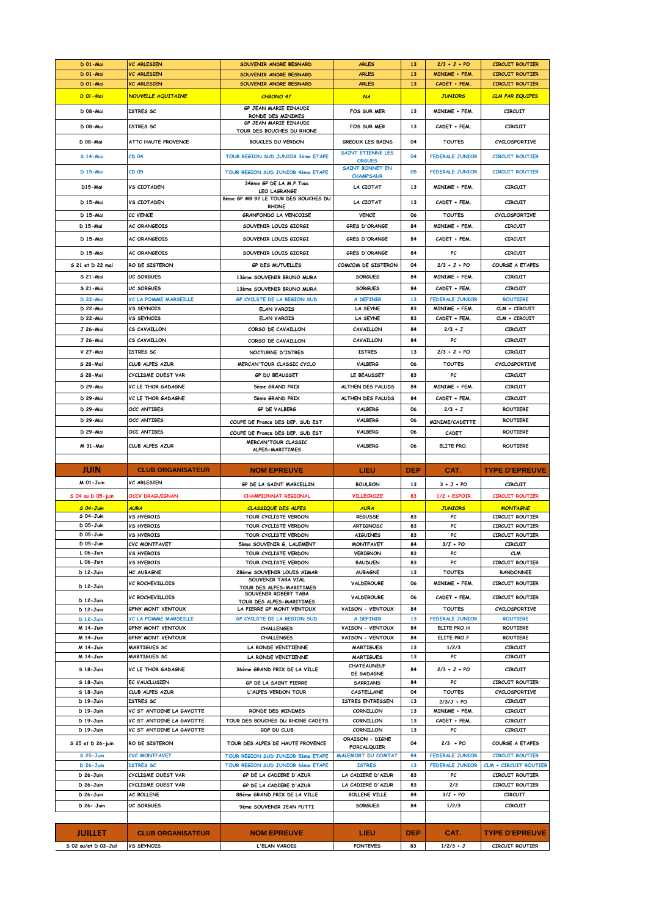| D 01-Mai             | <b>VC ARLESIEN</b>           | SOUVENIR ANDRE BESNARD                           | <b>ARLES</b>              | 13         | $2/3 + J + PO$         | <b>CIRCUIT ROUTIER</b> |
|----------------------|------------------------------|--------------------------------------------------|---------------------------|------------|------------------------|------------------------|
| D 01-Mai             | <b>VC ARLESIEN</b>           | SOUVENIR ANDRE BESNARD                           | <b>ARLES</b>              | 13         | <b>MINIME + FEM.</b>   | <b>CIRCUIT ROUTIER</b> |
| <b>D</b> 01 - Mai    | <b>VC ARLESIEN</b>           | SOUVENIR ANDRE BESNARD                           | <b>ARLES</b>              | 13         | CADET + FEM            | <b>CIRCUIT ROUTIER</b> |
|                      |                              |                                                  |                           |            |                        |                        |
| <b>D</b> 01 - Mai    | <b>NOUVELLE AQUITAINE</b>    | <b>CHRONO 47</b>                                 | NA                        |            | <b>JUNIORS</b>         | <b>CLM PAR EQUIPES</b> |
|                      | ISTRES SC                    | GP JEAN MARIE EINAUDI                            |                           | 13         |                        |                        |
| D 08-Mai             |                              | RONDE DES MINIMES                                | FOS SUR MER               |            | MINIME + FEM.          | <b>CIRCUIT</b>         |
| D 08-Mai             | ISTRES SC                    | GP JEAN MARIE EINAUDI                            | <b>FOS SUR MER</b>        | 13         | CADET + FEM.           | CIRCUIT                |
|                      |                              | TOUR DES BOUCHES DU RHONE                        |                           |            |                        |                        |
| D 08-Mai             | ATTC HAUTE PROVENCE          | <b>BOUCLES DU VERDON</b>                         | <b>GREOUX LES BAINS</b>   | 04         | <b>TOUTES</b>          | <b>CYCLOSPORTIVE</b>   |
|                      |                              |                                                  | SAINT ETIENNE LES         |            |                        |                        |
| S 14-Mai             | CD 04                        | TOUR REGION SUD JUNIOR 3ème ETAPE                | <b>ORGUES</b>             | 04         | <b>FEDERALE JUNIOR</b> | <b>CIRCUIT ROUTIER</b> |
|                      |                              |                                                  | <b>SAINT BONNET EN</b>    |            |                        |                        |
| D 15-Mai             | CD 05                        | <b>TOUR REGION SUD JUNIOR 4ème ETAPE</b>         | <b>CHAMPSAUR</b>          | 05         | <b>FEDERALE JUNIOR</b> | <b>CIRCUIT ROUTIER</b> |
| D15-Mai              | <b>VS CIOTADEN</b>           | 34ème GP DE LA M.P. Tous                         | LA CIOTAT                 | 13         | MINIME + FEM.          | CIRCUIT                |
|                      |                              | <b>LEO LAGRANGE</b>                              |                           |            |                        |                        |
| D 15-Mai             | <b>VS CIOTADEN</b>           | 8ème GP MB 92 LE TOUR DES BOUCHES DU             | LA CIOTAT                 | 13         | CADET + FEM.           | <b>CIRCUIT</b>         |
|                      |                              | <b>RHONE</b>                                     |                           |            |                        |                        |
| D 15-Mai             | CC VENCE                     | GRANFONDO LA VENCOISE                            | <b>VENCE</b>              | 06         | <b>TOUTES</b>          | <b>CYCLOSPORTIVE</b>   |
| D 15-Mai             | AC ORANGEOIS                 | SOUVENIR LOUIS GIORGI                            | <b>GRES D'ORANGE</b>      | 84         | MINIME + FEM.          | <b>CIRCUIT</b>         |
| D 15-Mai             | AC ORANGEOIS                 | SOUVENIR LOUIS GIORGI                            | <b>GRES D'ORANGE</b>      | 84         | CADET + FEM.           | <b>CIRCUIT</b>         |
|                      |                              |                                                  |                           |            |                        |                        |
| D 15-Mai             | <b>AC ORANGEOIS</b>          | SOUVENIR LOUIS GIORGI                            | <b>GRES D'ORANGE</b>      | 84         | PC                     | <b>CIRCUIT</b>         |
|                      |                              |                                                  |                           |            |                        |                        |
| S 21 et D 22 mai     | RO DE SISTERON               | <b>GP DES MUTUELLES</b>                          | COMCOM DE SISTERON        | 04         | $2/3 + J + PO$         | COURSE A ETAPES        |
| S 21-Mai             | UC SORGUES                   | 13ème SOUVENIR BRUNO MURA                        | <b>SORGUES</b>            | 84         | MINIME + FEM.          | <b>CIRCUIT</b>         |
| S 21-Mai             | UC SORGUES                   | 13ème SOUVENIR BRUNO MURA                        | <b>SORGUES</b>            | 84         | CADET + FEM.           | <b>CIRCUIT</b>         |
|                      |                              |                                                  |                           |            |                        |                        |
| <b>D</b> 22-Mai      | <b>VC LA POMME MARSEILLE</b> | GP CYCLSTE DE LA REGION SUD                      | A DEFINIR                 | 13         | <b>FEDERALE JUNIOR</b> | <b>ROUTIERE</b>        |
| D 22-Mai             | VS SEYNOIS                   | <b>ELAN VAROIS</b>                               | LA SEYNE                  | 83         | MINIME + FEM.          | CLM + CIRCUIT          |
| D 22-Mai             | VS SEYNOIS                   | <b>ELAN VAROIS</b>                               | LA SEYNE                  | 83         | CADET + FEM.           | CLM + CIRCUIT          |
| J 26-Mai             | CS CAVAILLON                 | CORSO DE CAVAILLON                               | CAVAILLON                 | 84         | $2/3 + J$              | <b>CIRCUIT</b>         |
|                      |                              |                                                  |                           |            |                        |                        |
| J 26-Mai             | CS CAVAILLON                 | CORSO DE CAVAILLON                               | CAVAILLON                 | 84         | PC                     | CIRCUIT                |
| V 27-Mai             | ISTRES SC                    | NOCTURNE D'ISTRES                                | <b>ISTRES</b>             | 13         | $2/3 + J + PO$         | <b>CIRCUIT</b>         |
|                      |                              |                                                  |                           |            |                        |                        |
| S 28-Mai             | CLUB ALPES AZUR              | MERCAN'TOUR CLASSIC CYCLO                        | VALBERG                   | 06         | <b>TOUTES</b>          | CYCLOSPORTIVE          |
| S 28-Mai             | CYCLISME OUEST VAR           | <b>GP DU BEAUSSET</b>                            | LE BEAUSSET               | 83         | PC                     | <b>CIRCUIT</b>         |
|                      | <b>VC LE THOR GADAGNE</b>    |                                                  | ALTHEN DES PALUDS         | 84         | MINIME + FEM.          | <b>CIRCUIT</b>         |
| D 29-Mai             |                              | 5ème GRAND PRIX                                  |                           |            |                        |                        |
| D 29-Mai             | VC LE THOR GADAGNE           | 5ème GRAND PRIX                                  | ALTHEN DES PALUDS         | 84         | CADET + FEM.           | CIRCUIT                |
| D 29-Mai             | OCC ANTIBES                  | GP DE VALBERG                                    | <b>VALBERG</b>            | 06         | $2/3 + J$              | <b>ROUTIERE</b>        |
|                      |                              |                                                  |                           |            |                        |                        |
| D 29-Mai             | OCC ANTIBES                  | COUPE DE France DES DEP. SUD EST                 | <b>VALBERG</b>            | 06         | MINIME/CADETTE         | <b>ROUTIERE</b>        |
| D 29-Mai             | OCC ANTIBES                  | COUPE DE France DES DEP. SUD EST                 | VALBERG                   | 06         | CADET                  | <b>ROUTIERE</b>        |
|                      |                              | <b>MERCAN'TOUR CLASSIC</b>                       |                           |            |                        |                        |
| M 31-Mai             | CLUB ALPES AZUR              | ALPES-MARITIMES                                  | VALBERG                   | 06         | ELITE PRO.             | <b>ROUTIERE</b>        |
|                      |                              |                                                  |                           |            |                        |                        |
|                      |                              |                                                  |                           |            |                        |                        |
|                      |                              |                                                  |                           |            |                        |                        |
| JUIN                 | <b>CLUB ORGANISATEUR</b>     | <b>NOM EPREUVE</b>                               | LIEU                      | <b>DEP</b> | CAT.                   | <b>TYPE D'EPREUVE</b>  |
| M 01-Juin            | VC ARLESIEN                  | GP DE LA SAINT MARCELLIN                         | <b>BOULBON</b>            | 13         | $3 + J + PO$           | <b>CIRCUIT</b>         |
|                      |                              |                                                  |                           |            |                        |                        |
| S 04 ou D 05-juin    | OCCV DRAGUIGNAN              | <b>CHAMPIONNAT REGIONAL</b>                      | <b>VILLECROZE</b>         | 83         | $1/2$ + ESPOIR         | <b>CIRCUIT ROUTIER</b> |
| $504 - J$ uin        | <b>AURA</b>                  | <b>CLASSIQUE DES ALPES</b>                       | <b>AURA</b>               |            | <b>JUNIORS</b>         | <b>MONTAGNE</b>        |
| S 04-Juin            | <b>VS HYEROIS</b>            | TOUR CYCLISTE VERDON                             | <b>REGUSSE</b>            | 83         | PC                     | CIRCUIT ROUTIER        |
| D 05-Juin            |                              |                                                  |                           |            | РC                     |                        |
|                      | VS HYEROIS                   | TOUR CYCLISTE VERDON                             | ARTIGNOSC                 | 83         |                        | CIRCUIT ROUTIER        |
| D 05-Juin            | VS HYEROIS                   | TOUR CYCLISTE VERDON                             | <b>AIGUINES</b>           | 83         | PC                     | CIRCUIT ROUTIER        |
| D 05-Juin            | CVC MONTFAVET                | 5ème SOUVENIR G. LALEMENT                        | <b>MONTFAVET</b>          | 84         | $3/J + PO$             | <b>CIRCUIT</b>         |
| L 06-Juin            | <b>VS HYEROIS</b>            | TOUR CYCLISTE VERDON                             | <b>VERIGNON</b>           | 83         | PC                     | <b>CLM</b>             |
| L 06-Juin            | <b>VS HYEROIS</b>            | TOUR CYCLISTE VERDON                             | <b>BAUDUEN</b>            | 83         | PC                     | CIRCUIT ROUTIER        |
| D 12-Juin            | HC AUBAGNE                   | 28ème SOUVENIR LOUIS AIMAR                       | <b>AUBAGNE</b>            | 13         | <b>TOUTES</b>          | <b>RANDONNEE</b>       |
|                      | <b>VC ROCHEVILLOIS</b>       | SOUVENIR TABA VIAL                               | <b>VALDEROURE</b>         | 06         | MINIME + FEM.          | <b>CIRCUIT ROUTIER</b> |
| D 12-Juin            |                              | TOUR DES ALPES-MARITIMES                         |                           |            |                        |                        |
| D 12-Juin            | VC ROCHEVILLOIS              | SOUVENIR ROBERT TABA<br>TOUR DES ALPES-MARITIMES | VALDEROURE                | 06         | CADET + FEM.           | <b>CIRCUIT ROUTIER</b> |
| D 12-Juin            | <b>GFNY MONT VENTOUX</b>     | LA PIERRE GF MONT VENTOUX                        | VAISON - VENTOUX          | 84         | <b>TOUTES</b>          | CYCLOSPORTIVE          |
|                      |                              |                                                  |                           |            |                        |                        |
| $D$ 12-Juin          | <b>VC LA POMME MARSEILLE</b> | GP CYCLSTE DE LA REGION SUD                      | A DEFINIR                 | 13         | <b>FEDERALE JUNIOR</b> | <b>ROUTIERE</b>        |
| M 14-Juin            | <b>GFNY MONT VENTOUX</b>     | <b>CHALLENGES</b>                                | VAISON - VENTOUX          | 84         | ELITE PRO.H            | ROUTIERE               |
| M 14-Juin            | <b>GFNY MONT VENTOUX</b>     | <b>CHALLENGES</b>                                | VAISON - VENTOUX          | 84         | ELITE PRO.F            | ROUTIERE               |
| <b>M 14-Juin</b>     | MARTIGUES SC                 | LA RONDE VENITIENNE                              | <b>MARTIGUES</b>          | 13         | 1/2/3                  | CIRCUIT                |
| M 14-Juin            | <b>MARTIGUES SC</b>          | LA RONDE VENITIENNE                              | <b>MARTIGUES</b>          | 13         | PC                     | <b>CIRCUIT</b>         |
|                      |                              |                                                  | CHATEAUNEUF               |            |                        |                        |
| S 18-Juin            | VC LE THOR GADAGNE           | 36ème GRAND PRIX DE LA VILLE                     | DE GADAGNE                | 84         | $2/3 + J + PO$         | <b>CIRCUIT</b>         |
| S 18-Juin            | <b>FC VAUCLUSTEN</b>         | GP DE LA SAINT PIERRE                            | <b>SARRIANS</b>           | 84         | PC                     | CIRCUIT ROUTIER        |
| S 18-Juin            | CLUB ALPES AZUR              | L'ALPES VERDON TOUR                              | CASTELLANE                | 04         | <b>TOUTES</b>          | CYCLOSPORTIVE          |
| D 19-Juin            | ISTRES SC                    |                                                  | ISTRES ENTRESSEN          | 13         | $2/3/J + PO$           | <b>CIRCUIT</b>         |
| D 19-Juin            | VC ST ANTOINE LA GAVOTTE     | RONDE DES MINIMES                                | <b>CORNILLON</b>          | 13         | MINIME + FEM.          | CIRCUIT                |
|                      |                              |                                                  |                           |            |                        |                        |
| D 19-Juin            | VC ST ANTOINE LA GAVOTTE     | TOUR DES BOUCHES DU RHONE CADETS                 | CORNILLON                 | 13         | CADET + FEM.           | CIRCUIT                |
| D 19-Juin            | VC ST ANTOINE LA GAVOTTE     | GDP DU CLUB                                      | CORNILLON                 | 13         | PC                     | CIRCUIT                |
| S 25 et D 26-juin    | RO DE SISTERON               | TOUR DES ALPES DE HAUTE PROVENCE                 | ORAISON - DIGNE           | 04         | $2/3 + PO$             | <b>COURSE A ETAPES</b> |
|                      |                              |                                                  | <b>FORCALQUIER</b>        |            |                        |                        |
| S 25-Juin            | <b>CVC MONTFAVET</b>         | TOUR REGION SUD JUNIOR 5ème ETAPE                | <b>MALEMORT DU COMTAT</b> | 84         | <b>FEDERALE JUNIOR</b> | <b>CIRCUIT ROUTIER</b> |
| $D$ 26-Juin          | <b>ISTRES SC</b>             | TOUR REGION SUD JUNIOR 6ème ETAPE                | <b>ISTRES</b>             | 13         | <b>FEDERALE JUNIOR</b> | CLM + CIRCUIT ROUTIER  |
| D 26-Juin            | CYCLISME OUEST VAR           | GP DE LA CADIERE D'AZUR                          | LA CADIERE D'AZUR         | 83         | PC                     | <b>CIRCUIT ROUTIER</b> |
|                      |                              |                                                  |                           |            |                        |                        |
| D 26-Juin            | CYCLISME OUEST VAR           | GP DE LA CADIERE D'AZUR                          | LA CADIERE D'AZUR         | 83         | 2/3                    | CIRCUIT ROUTIER        |
| D 26-Juin            | AC BOLLENE                   | 88ème GRAND PRIX DE LA VILLE                     | <b>BOLLENE VILLE</b>      | 84         | $3/J + PO$             | CIRCUIT                |
| D 26- Juin           | UC SORGUES                   | 9ème SOUVENIR JEAN PUTTI                         | <b>SORGUES</b>            | 84         | 1/2/3                  | CIRCUIT                |
|                      |                              |                                                  |                           |            |                        |                        |
|                      |                              |                                                  |                           |            |                        |                        |
| <b>JUILLET</b>       | <b>CLUB ORGANISATEUR</b>     | <b>NOM EPREUVE</b>                               | LIEU                      | <b>DEP</b> | CAT.                   | <b>TYPE D'EPREUVE</b>  |
| S 02 ou/et D 03-Juil | VS SEYNOIS                   | L'ELAN VAROIS                                    | <b>PONTEVES</b>           | 83         | $1/2/3 + J$            | <b>CIRCUIT ROUTIER</b> |